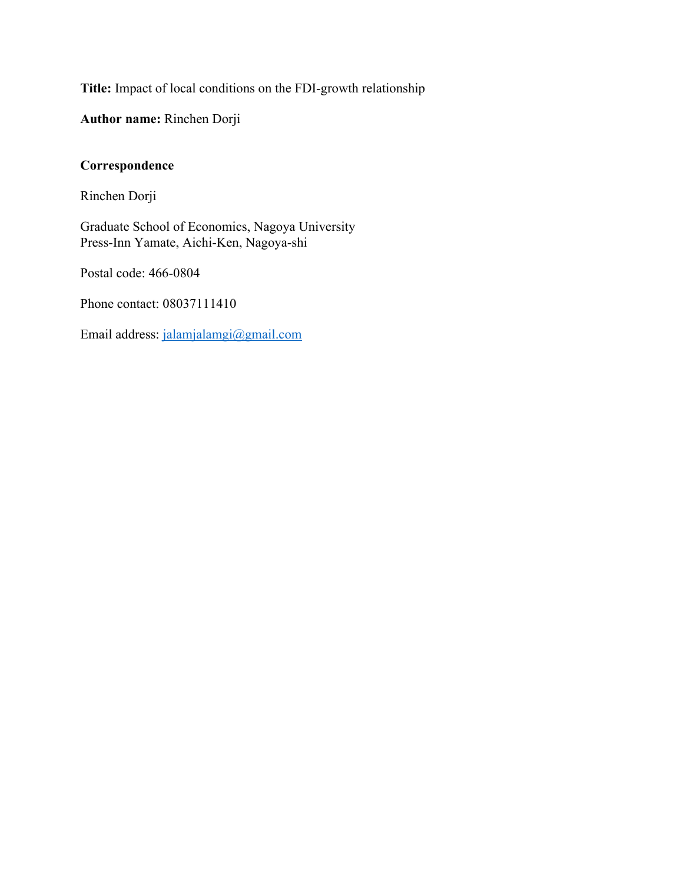**Title:** Impact of local conditions on the FDI-growth relationship

**Author name:** Rinchen Dorji

### **Correspondence**

Rinchen Dorji

Graduate School of Economics, Nagoya University Press-Inn Yamate, Aichi-Ken, Nagoya-shi

Postal code: 466-0804

Phone contact: 08037111410

Email address: jalamjalamgi@gmail.com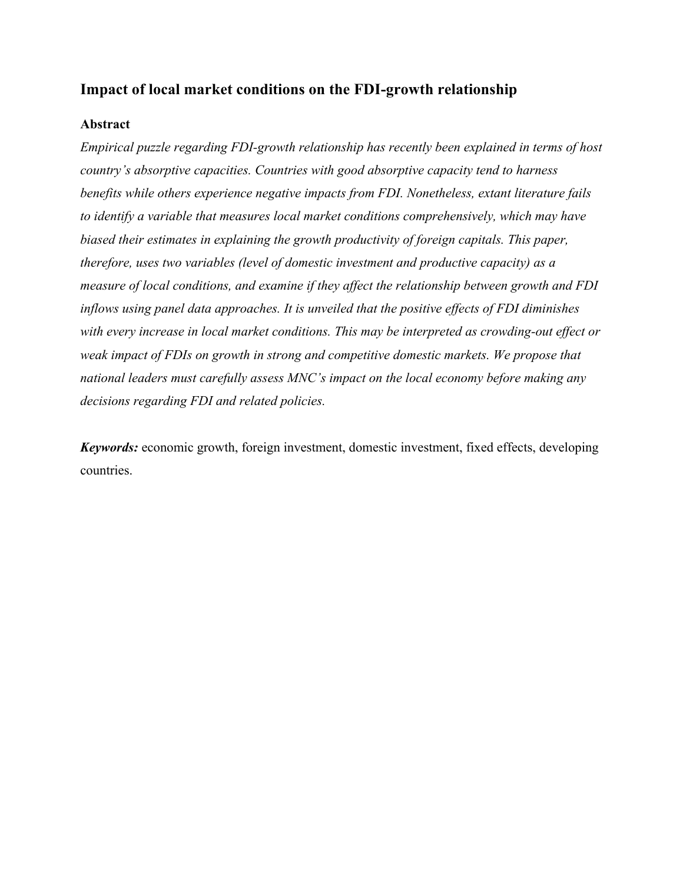## **Impact of local market conditions on the FDI-growth relationship**

#### **Abstract**

*Empirical puzzle regarding FDI-growth relationship has recently been explained in terms of host country's absorptive capacities. Countries with good absorptive capacity tend to harness benefits while others experience negative impacts from FDI. Nonetheless, extant literature fails to identify a variable that measures local market conditions comprehensively, which may have biased their estimates in explaining the growth productivity of foreign capitals. This paper, therefore, uses two variables (level of domestic investment and productive capacity) as a measure of local conditions, and examine if they affect the relationship between growth and FDI inflows using panel data approaches. It is unveiled that the positive effects of FDI diminishes with every increase in local market conditions. This may be interpreted as crowding-out effect or weak impact of FDIs on growth in strong and competitive domestic markets. We propose that national leaders must carefully assess MNC's impact on the local economy before making any decisions regarding FDI and related policies.* 

*Keywords:* economic growth, foreign investment, domestic investment, fixed effects, developing countries.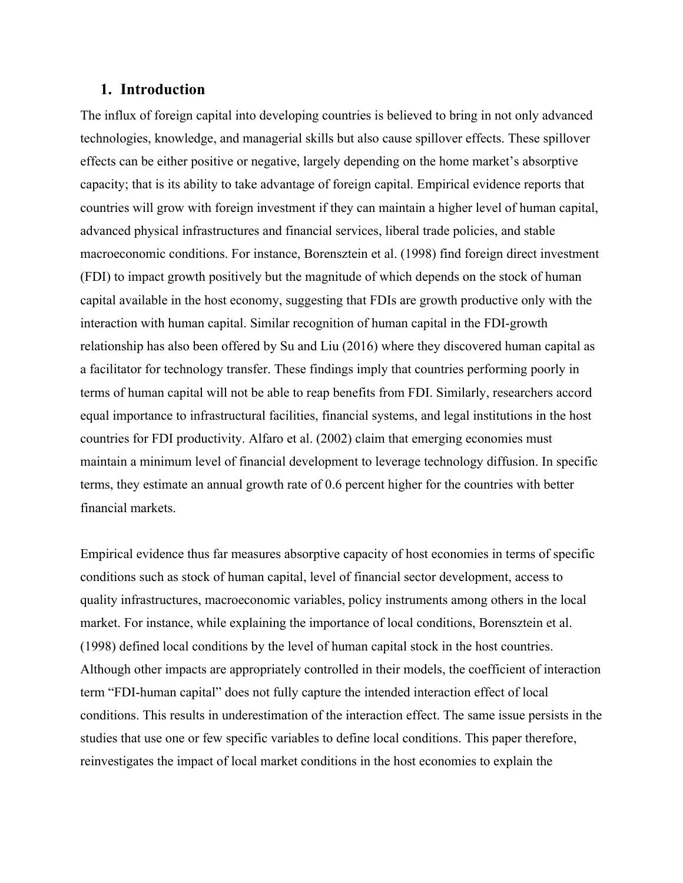#### **1. Introduction**

The influx of foreign capital into developing countries is believed to bring in not only advanced technologies, knowledge, and managerial skills but also cause spillover effects. These spillover effects can be either positive or negative, largely depending on the home market's absorptive capacity; that is its ability to take advantage of foreign capital. Empirical evidence reports that countries will grow with foreign investment if they can maintain a higher level of human capital, advanced physical infrastructures and financial services, liberal trade policies, and stable macroeconomic conditions. For instance, Borensztein et al. (1998) find foreign direct investment (FDI) to impact growth positively but the magnitude of which depends on the stock of human capital available in the host economy, suggesting that FDIs are growth productive only with the interaction with human capital. Similar recognition of human capital in the FDI-growth relationship has also been offered by Su and Liu (2016) where they discovered human capital as a facilitator for technology transfer. These findings imply that countries performing poorly in terms of human capital will not be able to reap benefits from FDI. Similarly, researchers accord equal importance to infrastructural facilities, financial systems, and legal institutions in the host countries for FDI productivity. Alfaro et al. (2002) claim that emerging economies must maintain a minimum level of financial development to leverage technology diffusion. In specific terms, they estimate an annual growth rate of 0.6 percent higher for the countries with better financial markets.

Empirical evidence thus far measures absorptive capacity of host economies in terms of specific conditions such as stock of human capital, level of financial sector development, access to quality infrastructures, macroeconomic variables, policy instruments among others in the local market. For instance, while explaining the importance of local conditions, Borensztein et al. (1998) defined local conditions by the level of human capital stock in the host countries. Although other impacts are appropriately controlled in their models, the coefficient of interaction term "FDI-human capital" does not fully capture the intended interaction effect of local conditions. This results in underestimation of the interaction effect. The same issue persists in the studies that use one or few specific variables to define local conditions. This paper therefore, reinvestigates the impact of local market conditions in the host economies to explain the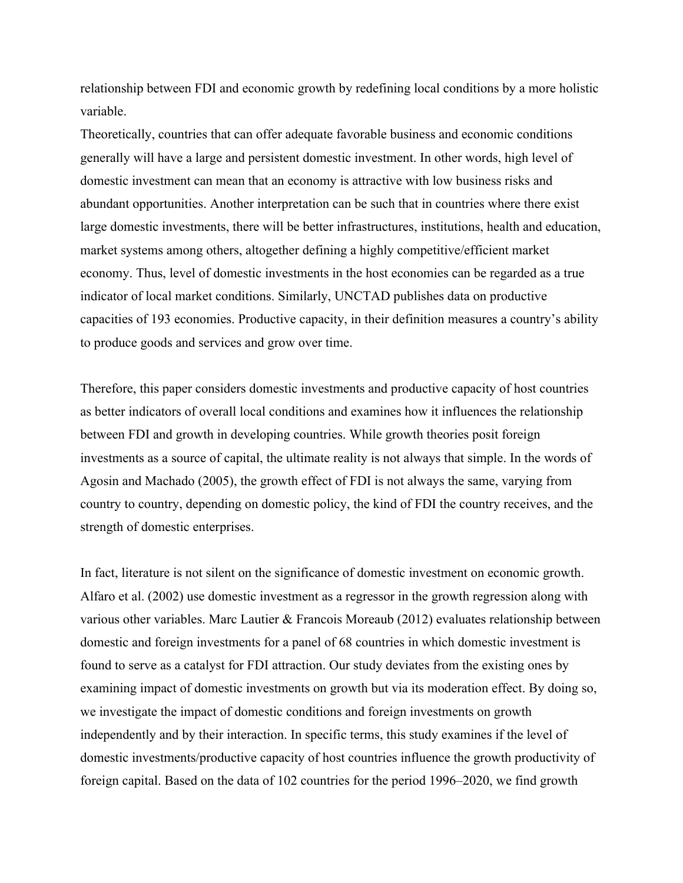relationship between FDI and economic growth by redefining local conditions by a more holistic variable.

Theoretically, countries that can offer adequate favorable business and economic conditions generally will have a large and persistent domestic investment. In other words, high level of domestic investment can mean that an economy is attractive with low business risks and abundant opportunities. Another interpretation can be such that in countries where there exist large domestic investments, there will be better infrastructures, institutions, health and education, market systems among others, altogether defining a highly competitive/efficient market economy. Thus, level of domestic investments in the host economies can be regarded as a true indicator of local market conditions. Similarly, UNCTAD publishes data on productive capacities of 193 economies. Productive capacity, in their definition measures a country's ability to produce goods and services and grow over time.

Therefore, this paper considers domestic investments and productive capacity of host countries as better indicators of overall local conditions and examines how it influences the relationship between FDI and growth in developing countries. While growth theories posit foreign investments as a source of capital, the ultimate reality is not always that simple. In the words of Agosin and Machado (2005), the growth effect of FDI is not always the same, varying from country to country, depending on domestic policy, the kind of FDI the country receives, and the strength of domestic enterprises.

In fact, literature is not silent on the significance of domestic investment on economic growth. Alfaro et al. (2002) use domestic investment as a regressor in the growth regression along with various other variables. Marc Lautier & Francois Moreaub (2012) evaluates relationship between domestic and foreign investments for a panel of 68 countries in which domestic investment is found to serve as a catalyst for FDI attraction. Our study deviates from the existing ones by examining impact of domestic investments on growth but via its moderation effect. By doing so, we investigate the impact of domestic conditions and foreign investments on growth independently and by their interaction. In specific terms, this study examines if the level of domestic investments/productive capacity of host countries influence the growth productivity of foreign capital. Based on the data of 102 countries for the period 1996–2020, we find growth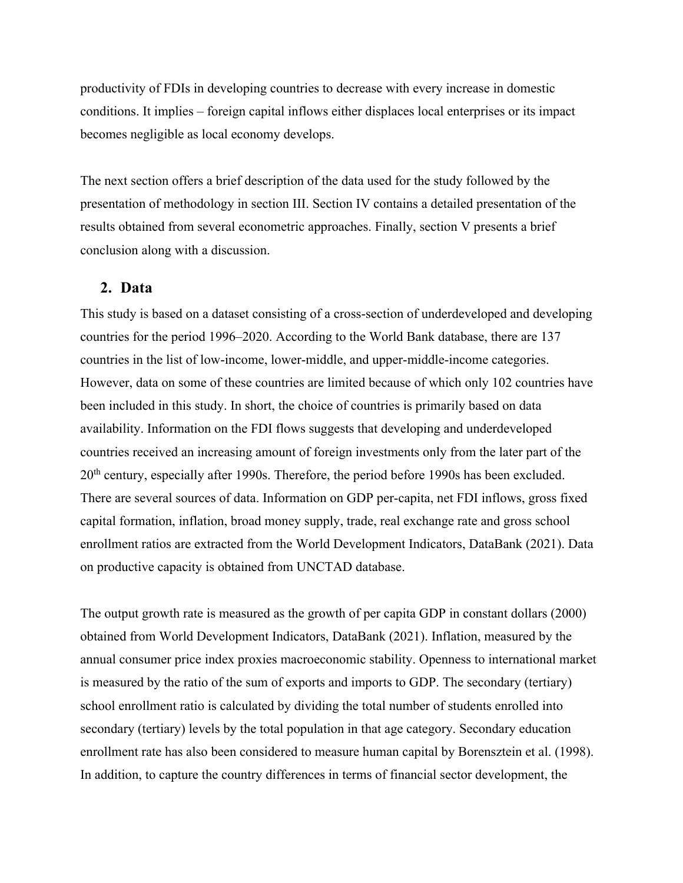productivity of FDIs in developing countries to decrease with every increase in domestic conditions. It implies – foreign capital inflows either displaces local enterprises or its impact becomes negligible as local economy develops.

The next section offers a brief description of the data used for the study followed by the presentation of methodology in section III. Section IV contains a detailed presentation of the results obtained from several econometric approaches. Finally, section V presents a brief conclusion along with a discussion.

#### **2. Data**

This study is based on a dataset consisting of a cross-section of underdeveloped and developing countries for the period 1996–2020. According to the World Bank database, there are 137 countries in the list of low-income, lower-middle, and upper-middle-income categories. However, data on some of these countries are limited because of which only 102 countries have been included in this study. In short, the choice of countries is primarily based on data availability. Information on the FDI flows suggests that developing and underdeveloped countries received an increasing amount of foreign investments only from the later part of the 20<sup>th</sup> century, especially after 1990s. Therefore, the period before 1990s has been excluded. There are several sources of data. Information on GDP per-capita, net FDI inflows, gross fixed capital formation, inflation, broad money supply, trade, real exchange rate and gross school enrollment ratios are extracted from the World Development Indicators, DataBank (2021). Data on productive capacity is obtained from UNCTAD database.

The output growth rate is measured as the growth of per capita GDP in constant dollars (2000) obtained from World Development Indicators, DataBank (2021). Inflation, measured by the annual consumer price index proxies macroeconomic stability. Openness to international market is measured by the ratio of the sum of exports and imports to GDP. The secondary (tertiary) school enrollment ratio is calculated by dividing the total number of students enrolled into secondary (tertiary) levels by the total population in that age category. Secondary education enrollment rate has also been considered to measure human capital by Borensztein et al. (1998). In addition, to capture the country differences in terms of financial sector development, the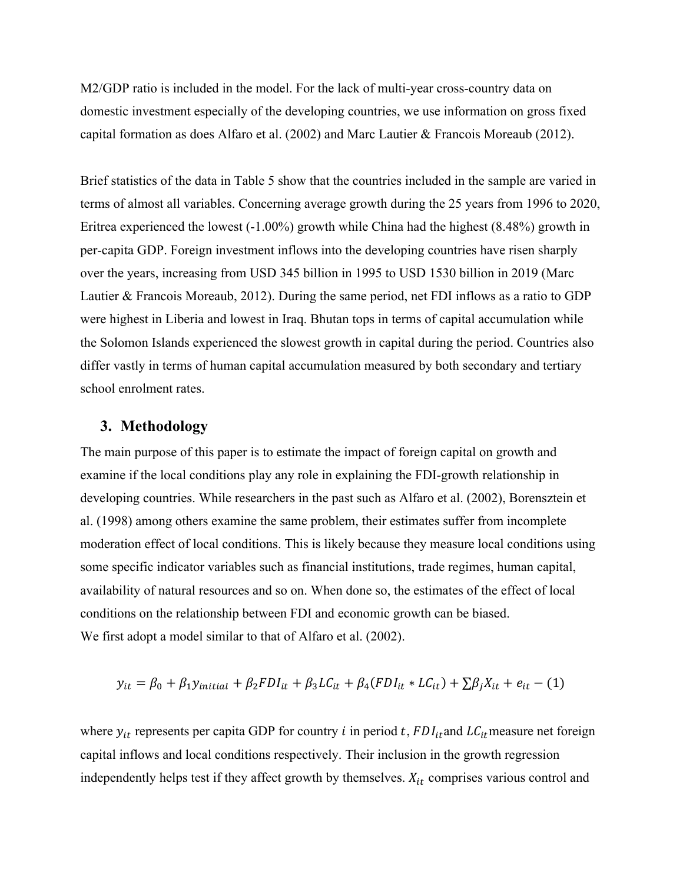M2/GDP ratio is included in the model. For the lack of multi-year cross-country data on domestic investment especially of the developing countries, we use information on gross fixed capital formation as does Alfaro et al. (2002) and Marc Lautier & Francois Moreaub (2012).

Brief statistics of the data in Table 5 show that the countries included in the sample are varied in terms of almost all variables. Concerning average growth during the 25 years from 1996 to 2020, Eritrea experienced the lowest (-1.00%) growth while China had the highest (8.48%) growth in per-capita GDP. Foreign investment inflows into the developing countries have risen sharply over the years, increasing from USD 345 billion in 1995 to USD 1530 billion in 2019 (Marc Lautier & Francois Moreaub, 2012). During the same period, net FDI inflows as a ratio to GDP were highest in Liberia and lowest in Iraq. Bhutan tops in terms of capital accumulation while the Solomon Islands experienced the slowest growth in capital during the period. Countries also differ vastly in terms of human capital accumulation measured by both secondary and tertiary school enrolment rates.

#### **3. Methodology**

The main purpose of this paper is to estimate the impact of foreign capital on growth and examine if the local conditions play any role in explaining the FDI-growth relationship in developing countries. While researchers in the past such as Alfaro et al. (2002), Borensztein et al. (1998) among others examine the same problem, their estimates suffer from incomplete moderation effect of local conditions. This is likely because they measure local conditions using some specific indicator variables such as financial institutions, trade regimes, human capital, availability of natural resources and so on. When done so, the estimates of the effect of local conditions on the relationship between FDI and economic growth can be biased. We first adopt a model similar to that of Alfaro et al. (2002).

$$
y_{it} = \beta_0 + \beta_1 y_{initial} + \beta_2 FDI_{it} + \beta_3 LC_{it} + \beta_4 (FDI_{it} * LC_{it}) + \sum \beta_j X_{it} + e_{it} - (1)
$$

where  $y_{it}$  represents per capita GDP for country *i* in period *t*,  $FDI_{it}$  and  $LC_{it}$  measure net foreign capital inflows and local conditions respectively. Their inclusion in the growth regression independently helps test if they affect growth by themselves.  $X_{it}$  comprises various control and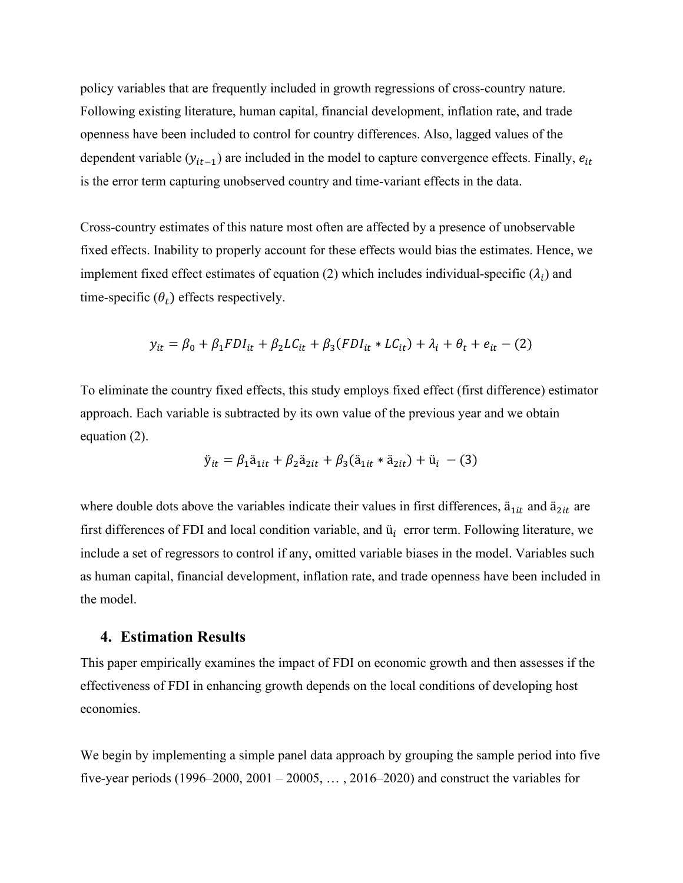policy variables that are frequently included in growth regressions of cross-country nature. Following existing literature, human capital, financial development, inflation rate, and trade openness have been included to control for country differences. Also, lagged values of the dependent variable  $(y_{it-1})$  are included in the model to capture convergence effects. Finally,  $e_{it}$ is the error term capturing unobserved country and time-variant effects in the data.

Cross-country estimates of this nature most often are affected by a presence of unobservable fixed effects. Inability to properly account for these effects would bias the estimates. Hence, we implement fixed effect estimates of equation (2) which includes individual-specific ( $\lambda_i$ ) and time-specific  $(\theta_t)$  effects respectively.

$$
y_{it} = \beta_0 + \beta_1 F D I_{it} + \beta_2 L C_{it} + \beta_3 (F D I_{it} * L C_{it}) + \lambda_i + \theta_t + e_{it} - (2)
$$

To eliminate the country fixed effects, this study employs fixed effect (first difference) estimator approach. Each variable is subtracted by its own value of the previous year and we obtain equation (2).

$$
\ddot{y}_{it} = \beta_1 \ddot{a}_{1it} + \beta_2 \ddot{a}_{2it} + \beta_3 (\ddot{a}_{1it} * \ddot{a}_{2it}) + \ddot{u}_i - (3)
$$

where double dots above the variables indicate their values in first differences,  $\ddot{a}_{1it}$  and  $\ddot{a}_{2it}$  are first differences of FDI and local condition variable, and  $\ddot{u}_i$  error term. Following literature, we include a set of regressors to control if any, omitted variable biases in the model. Variables such as human capital, financial development, inflation rate, and trade openness have been included in the model.

#### **4. Estimation Results**

This paper empirically examines the impact of FDI on economic growth and then assesses if the effectiveness of FDI in enhancing growth depends on the local conditions of developing host economies.

We begin by implementing a simple panel data approach by grouping the sample period into five five-year periods  $(1996-2000, 2001-20005, \ldots, 2016-2020)$  and construct the variables for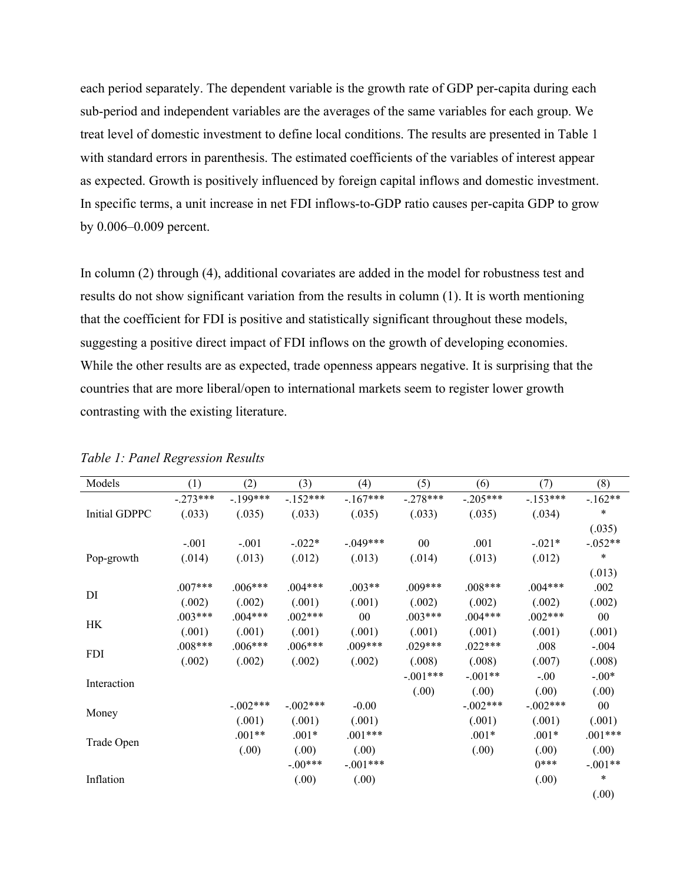each period separately. The dependent variable is the growth rate of GDP per-capita during each sub-period and independent variables are the averages of the same variables for each group. We treat level of domestic investment to define local conditions. The results are presented in Table 1 with standard errors in parenthesis. The estimated coefficients of the variables of interest appear as expected. Growth is positively influenced by foreign capital inflows and domestic investment. In specific terms, a unit increase in net FDI inflows-to-GDP ratio causes per-capita GDP to grow by 0.006–0.009 percent.

In column (2) through (4), additional covariates are added in the model for robustness test and results do not show significant variation from the results in column (1). It is worth mentioning that the coefficient for FDI is positive and statistically significant throughout these models, suggesting a positive direct impact of FDI inflows on the growth of developing economies. While the other results are as expected, trade openness appears negative. It is surprising that the countries that are more liberal/open to international markets seem to register lower growth contrasting with the existing literature.

| Models        | (1)        | (2)        | (3)        | (4)        | (5)        | (6)        | (7)        | (8)       |
|---------------|------------|------------|------------|------------|------------|------------|------------|-----------|
|               | $-.273***$ | $-.199***$ | $-152***$  | $-.167***$ | $-.278***$ | $-.205***$ | $-.153***$ | $-162**$  |
| Initial GDPPC | (.033)     | (.035)     | (.033)     | (.035)     | (.033)     | (.035)     | (.034)     | $\ast$    |
|               |            |            |            |            |            |            |            | (.035)    |
|               | $-.001$    | $-.001$    | $-.022*$   | $-.049***$ | 00         | .001       | $-.021*$   | $-.052**$ |
| Pop-growth    | (.014)     | (.013)     | (.012)     | (.013)     | (.014)     | (.013)     | (.012)     | $\ast$    |
|               |            |            |            |            |            |            |            | (.013)    |
| DI            | $.007***$  | $.006***$  | $.004***$  | $.003**$   | $.009***$  | $.008***$  | $.004***$  | .002      |
|               | (.002)     | (.002)     | (.001)     | (.001)     | (.002)     | (.002)     | (.002)     | (.002)    |
| HK            | $.003***$  | $.004***$  | $.002***$  | 00         | $.003***$  | $.004***$  | $.002***$  | 00        |
|               | (.001)     | (.001)     | (.001)     | (.001)     | (.001)     | (.001)     | (.001)     | (.001)    |
| <b>FDI</b>    | $.008***$  | $.006***$  | $.006***$  | .009***    | $.029***$  | $.022***$  | .008       | $-.004$   |
|               | (.002)     | (.002)     | (.002)     | (.002)     | (.008)     | (.008)     | (.007)     | (.008)    |
| Interaction   |            |            |            |            | $-.001***$ | $-.001**$  | $-.00$     | $-.00*$   |
|               |            |            |            |            | (.00)      | (.00)      | (.00)      | (.00)     |
|               |            | $-.002***$ | $-.002***$ | $-0.00$    |            | $-.002***$ | $-.002***$ | 00        |
| Money         |            | (.001)     | (.001)     | (.001)     |            | (.001)     | (.001)     | (.001)    |
| Trade Open    |            | $.001**$   | $.001*$    | $.001***$  |            | $.001*$    | $.001*$    | $.001***$ |
|               |            | (.00)      | (.00)      | (.00)      |            | (.00)      | (.00)      | (.00)     |
|               |            |            | $-.00***$  | $-.001***$ |            |            | $0***$     | $-.001**$ |
| Inflation     |            |            | (.00)      | (0.00)     |            |            | (.00)      | $\ast$    |
|               |            |            |            |            |            |            |            | (.00)     |

#### *Table 1: Panel Regression Results*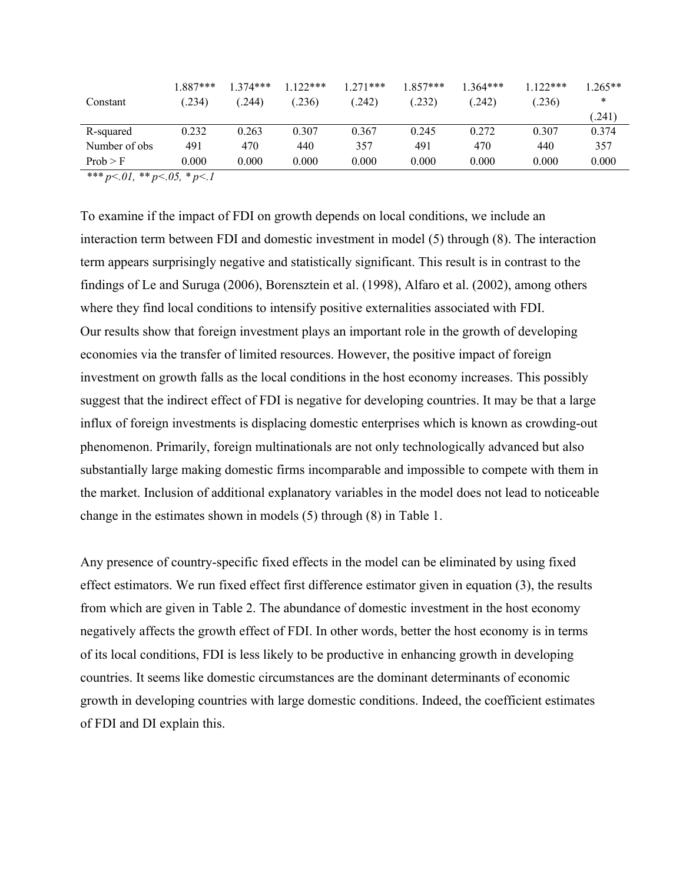| 1.887***<br>Constant                                                                                                        | (.234) | $1.374***$<br>.236)<br>(244) | $.122***$<br>$1.271***$<br>(242) | $.857***$<br>.232) | $.364***$<br>(242) | $1122$ ***<br>(.236) | $.265**$<br>∗ |
|-----------------------------------------------------------------------------------------------------------------------------|--------|------------------------------|----------------------------------|--------------------|--------------------|----------------------|---------------|
|                                                                                                                             |        |                              |                                  |                    |                    |                      | (241)         |
| R-squared                                                                                                                   | 0.232  | 0.263<br>0.307               | 0.367                            | 0.245              | 0.272              | 0.307                | 0.374         |
| Number of obs                                                                                                               | 491    | 470<br>440                   | 357                              | 491                | 470                | 440                  | 357           |
| Prob > F<br>and and the state of the state of the state of the state of the state of the state of the state of the state of | 0.000  | 0.000<br>0.000               | 0.000                            | 0.000              | 0.000              | 0.000                | 0.000         |

*\*\*\* p<.01, \*\* p<.05, \* p<.1*

To examine if the impact of FDI on growth depends on local conditions, we include an interaction term between FDI and domestic investment in model (5) through (8). The interaction term appears surprisingly negative and statistically significant. This result is in contrast to the findings of Le and Suruga (2006), Borensztein et al. (1998), Alfaro et al. (2002), among others where they find local conditions to intensify positive externalities associated with FDI. Our results show that foreign investment plays an important role in the growth of developing economies via the transfer of limited resources. However, the positive impact of foreign investment on growth falls as the local conditions in the host economy increases. This possibly suggest that the indirect effect of FDI is negative for developing countries. It may be that a large influx of foreign investments is displacing domestic enterprises which is known as crowding-out phenomenon. Primarily, foreign multinationals are not only technologically advanced but also substantially large making domestic firms incomparable and impossible to compete with them in the market. Inclusion of additional explanatory variables in the model does not lead to noticeable change in the estimates shown in models (5) through (8) in Table 1.

Any presence of country-specific fixed effects in the model can be eliminated by using fixed effect estimators. We run fixed effect first difference estimator given in equation (3), the results from which are given in Table 2. The abundance of domestic investment in the host economy negatively affects the growth effect of FDI. In other words, better the host economy is in terms of its local conditions, FDI is less likely to be productive in enhancing growth in developing countries. It seems like domestic circumstances are the dominant determinants of economic growth in developing countries with large domestic conditions. Indeed, the coefficient estimates of FDI and DI explain this.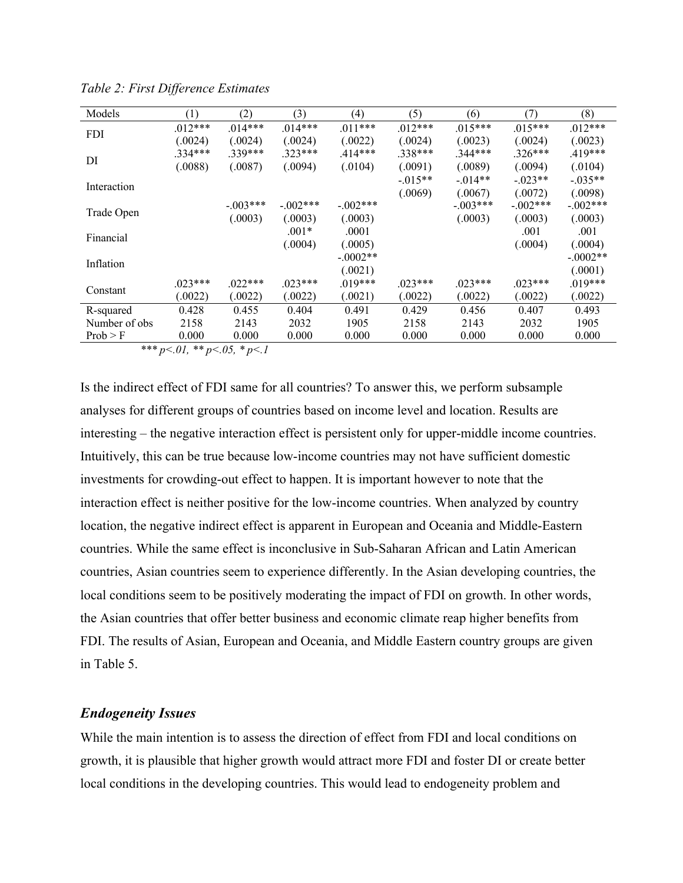| (1)       | (2)        | (3)        | (4)        | (5)       | (6)        | (7)        | (8)        |
|-----------|------------|------------|------------|-----------|------------|------------|------------|
| $.012***$ | $.014***$  | $.014***$  | $.011***$  | $.012***$ | $.015***$  | $.015***$  | $.012***$  |
| (.0024)   | (.0024)    | (.0024)    | (.0022)    | (.0024)   | (.0023)    | (.0024)    | (.0023)    |
| $.334***$ | $.339***$  | $.323***$  | .414***    | .338***   | .344***    | $.326***$  | .419***    |
| (.0088)   | (.0087)    | (.0094)    | (.0104)    | (.0091)   | (.0089)    | (.0094)    | (.0104)    |
|           |            |            |            | $-.015**$ | $-.014**$  | $-.023**$  | $-.035**$  |
|           |            |            |            | (.0069)   | (.0067)    | (.0072)    | (.0098)    |
|           | $-.003***$ | $-.002***$ | $-.002***$ |           | $-.003***$ | $-.002***$ | $-.002***$ |
|           | (.0003)    | (.0003)    | (.0003)    |           | (.0003)    | (.0003)    | (.0003)    |
|           |            | $.001*$    | .0001      |           |            | .001       | .001       |
|           |            | (.0004)    | (.0005)    |           |            | (.0004)    | (.0004)    |
|           |            |            | $-.0002**$ |           |            |            | $-.0002**$ |
|           |            |            |            |           |            |            | (.0001)    |
| $.023***$ | $.022***$  | $.023***$  | .019***    | $.023***$ | $.023***$  | $.023***$  | $.019***$  |
| (.0022)   | (.0022)    | (.0022)    | (.0021)    | (.0022)   | (.0022)    | (.0022)    | (.0022)    |
| 0.428     | 0.455      | 0.404      | 0.491      | 0.429     | 0.456      | 0.407      | 0.493      |
| 2158      | 2143       | 2032       | 1905       | 2158      | 2143       | 2032       | 1905       |
| 0.000     | 0.000      | 0.000      | 0.000      | 0.000     | 0.000      | 0.000      | 0.000      |
|           |            |            |            | (.0021)   |            |            |            |

*Table 2: First Difference Estimates*

*\*\*\* p<.01, \*\* p<.05, \* p<.1*

Is the indirect effect of FDI same for all countries? To answer this, we perform subsample analyses for different groups of countries based on income level and location. Results are interesting – the negative interaction effect is persistent only for upper-middle income countries. Intuitively, this can be true because low-income countries may not have sufficient domestic investments for crowding-out effect to happen. It is important however to note that the interaction effect is neither positive for the low-income countries. When analyzed by country location, the negative indirect effect is apparent in European and Oceania and Middle-Eastern countries. While the same effect is inconclusive in Sub-Saharan African and Latin American countries, Asian countries seem to experience differently. In the Asian developing countries, the local conditions seem to be positively moderating the impact of FDI on growth. In other words, the Asian countries that offer better business and economic climate reap higher benefits from FDI. The results of Asian, European and Oceania, and Middle Eastern country groups are given in Table 5.

#### *Endogeneity Issues*

While the main intention is to assess the direction of effect from FDI and local conditions on growth, it is plausible that higher growth would attract more FDI and foster DI or create better local conditions in the developing countries. This would lead to endogeneity problem and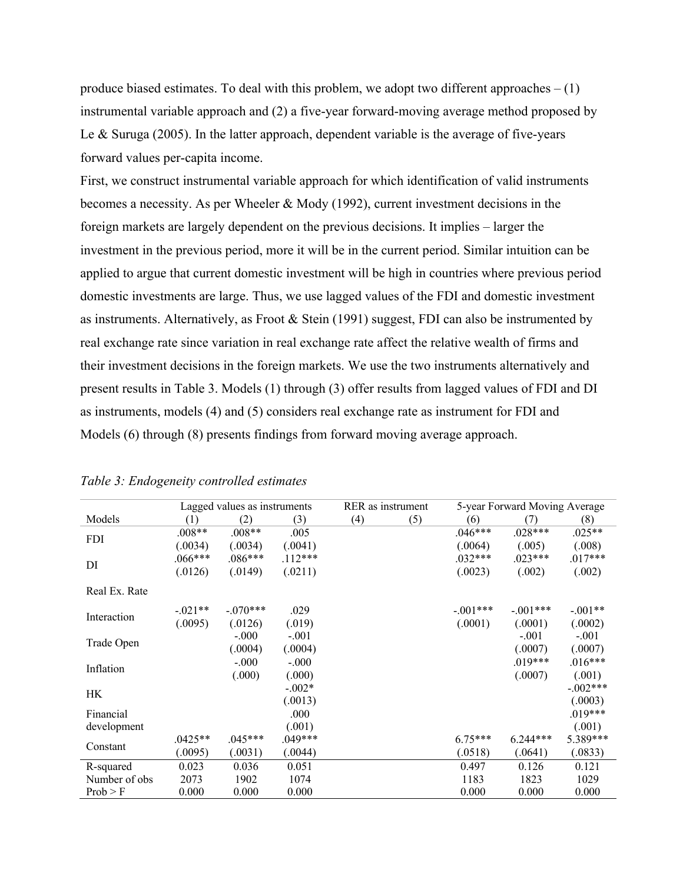produce biased estimates. To deal with this problem, we adopt two different approaches  $- (1)$ instrumental variable approach and (2) a five-year forward-moving average method proposed by Le & Suruga (2005). In the latter approach, dependent variable is the average of five-years forward values per-capita income.

First, we construct instrumental variable approach for which identification of valid instruments becomes a necessity. As per Wheeler & Mody (1992), current investment decisions in the foreign markets are largely dependent on the previous decisions. It implies – larger the investment in the previous period, more it will be in the current period. Similar intuition can be applied to argue that current domestic investment will be high in countries where previous period domestic investments are large. Thus, we use lagged values of the FDI and domestic investment as instruments. Alternatively, as Froot & Stein (1991) suggest, FDI can also be instrumented by real exchange rate since variation in real exchange rate affect the relative wealth of firms and their investment decisions in the foreign markets. We use the two instruments alternatively and present results in Table 3. Models (1) through (3) offer results from lagged values of FDI and DI as instruments, models (4) and (5) considers real exchange rate as instrument for FDI and Models (6) through (8) presents findings from forward moving average approach.

|               |           | Lagged values as instruments |           | RER as instrument<br>5-year Forward Moving Average |     |            |            |            |
|---------------|-----------|------------------------------|-----------|----------------------------------------------------|-----|------------|------------|------------|
| Models        | (1)       | (2)                          | (3)       | (4)                                                | (5) | (6)        | (7)        | (8)        |
| <b>FDI</b>    | $.008**$  | $.008**$                     | .005      |                                                    |     | $.046***$  | $.028***$  | $.025**$   |
|               | (.0034)   | (.0034)                      | (.0041)   |                                                    |     | (.0064)    | (.005)     | (.008)     |
| DI            | $.066***$ | $.086***$                    | $.112***$ |                                                    |     | $.032***$  | $.023***$  | $.017***$  |
|               | (.0126)   | (.0149)                      | (.0211)   |                                                    |     | (.0023)    | (.002)     | (.002)     |
| Real Ex. Rate |           |                              |           |                                                    |     |            |            |            |
|               | $-.021**$ | $-.070***$                   | .029      |                                                    |     | $-.001***$ | $-.001***$ | $-.001**$  |
| Interaction   | (.0095)   | (.0126)                      | (.019)    |                                                    |     | (.0001)    | (.0001)    | (.0002)    |
|               |           | $-.000$                      | $-.001$   |                                                    |     |            | $-.001$    | $-.001$    |
| Trade Open    |           | (.0004)                      | (.0004)   |                                                    |     |            | (.0007)    | (.0007)    |
| Inflation     |           | $-.000$                      | $-.000$   |                                                    |     |            | $.019***$  | $.016***$  |
|               |           | (.000)                       | (.000)    |                                                    |     |            | (.0007)    | (.001)     |
| HK            |           |                              | $-.002*$  |                                                    |     |            |            | $-.002***$ |
|               |           |                              | (.0013)   |                                                    |     |            |            | (.0003)    |
| Financial     |           |                              | .000      |                                                    |     |            |            | $.019***$  |
| development   |           |                              | (.001)    |                                                    |     |            |            | (.001)     |
| Constant      | $.0425**$ | $.045***$                    | $.049***$ |                                                    |     | $6.75***$  | $6.244***$ | 5.389***   |
|               | (.0095)   | (.0031)                      | (.0044)   |                                                    |     | (.0518)    | (.0641)    | (.0833)    |
| R-squared     | 0.023     | 0.036                        | 0.051     |                                                    |     | 0.497      | 0.126      | 0.121      |
| Number of obs | 2073      | 1902                         | 1074      |                                                    |     | 1183       | 1823       | 1029       |
| Prob > F      | 0.000     | 0.000                        | 0.000     |                                                    |     | 0.000      | 0.000      | 0.000      |

*Table 3: Endogeneity controlled estimates*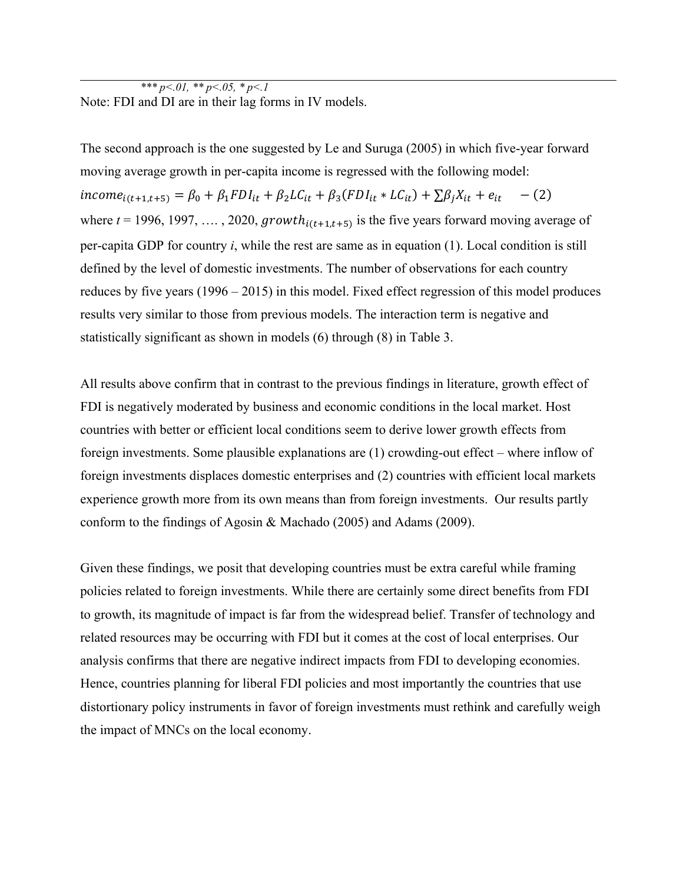*\*\*\* p<.01, \*\* p<.05, \* p<.1* Note: FDI and DI are in their lag forms in IV models.

The second approach is the one suggested by Le and Suruga (2005) in which five-year forward moving average growth in per-capita income is regressed with the following model:  $income_{i(t+1,t+5)} = \beta_0 + \beta_1 FDI_{it} + \beta_2 LC_{it} + \beta_3 (FDI_{it} * LC_{it}) + \sum \beta_j X_{it} + e_{it}$  - (2) where  $t = 1996, 1997, \ldots, 2020, growth_{i(t+1,t+5)}$  is the five years forward moving average of per-capita GDP for country *i*, while the rest are same as in equation (1). Local condition is still defined by the level of domestic investments. The number of observations for each country reduces by five years (1996 – 2015) in this model. Fixed effect regression of this model produces results very similar to those from previous models. The interaction term is negative and statistically significant as shown in models (6) through (8) in Table 3.

All results above confirm that in contrast to the previous findings in literature, growth effect of FDI is negatively moderated by business and economic conditions in the local market. Host countries with better or efficient local conditions seem to derive lower growth effects from foreign investments. Some plausible explanations are (1) crowding-out effect – where inflow of foreign investments displaces domestic enterprises and (2) countries with efficient local markets experience growth more from its own means than from foreign investments. Our results partly conform to the findings of Agosin & Machado (2005) and Adams (2009).

Given these findings, we posit that developing countries must be extra careful while framing policies related to foreign investments. While there are certainly some direct benefits from FDI to growth, its magnitude of impact is far from the widespread belief. Transfer of technology and related resources may be occurring with FDI but it comes at the cost of local enterprises. Our analysis confirms that there are negative indirect impacts from FDI to developing economies. Hence, countries planning for liberal FDI policies and most importantly the countries that use distortionary policy instruments in favor of foreign investments must rethink and carefully weigh the impact of MNCs on the local economy.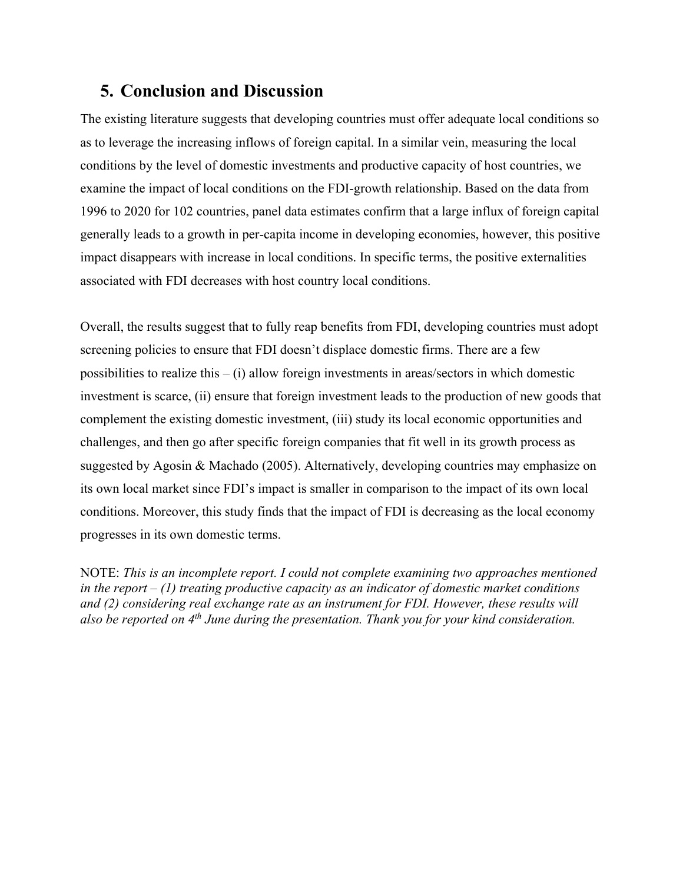# **5. Conclusion and Discussion**

The existing literature suggests that developing countries must offer adequate local conditions so as to leverage the increasing inflows of foreign capital. In a similar vein, measuring the local conditions by the level of domestic investments and productive capacity of host countries, we examine the impact of local conditions on the FDI-growth relationship. Based on the data from 1996 to 2020 for 102 countries, panel data estimates confirm that a large influx of foreign capital generally leads to a growth in per-capita income in developing economies, however, this positive impact disappears with increase in local conditions. In specific terms, the positive externalities associated with FDI decreases with host country local conditions.

Overall, the results suggest that to fully reap benefits from FDI, developing countries must adopt screening policies to ensure that FDI doesn't displace domestic firms. There are a few possibilities to realize this – (i) allow foreign investments in areas/sectors in which domestic investment is scarce, (ii) ensure that foreign investment leads to the production of new goods that complement the existing domestic investment, (iii) study its local economic opportunities and challenges, and then go after specific foreign companies that fit well in its growth process as suggested by Agosin & Machado (2005). Alternatively, developing countries may emphasize on its own local market since FDI's impact is smaller in comparison to the impact of its own local conditions. Moreover, this study finds that the impact of FDI is decreasing as the local economy progresses in its own domestic terms.

NOTE: *This is an incomplete report. I could not complete examining two approaches mentioned in the report – (1) treating productive capacity as an indicator of domestic market conditions and (2) considering real exchange rate as an instrument for FDI. However, these results will also be reported on 4th June during the presentation. Thank you for your kind consideration.*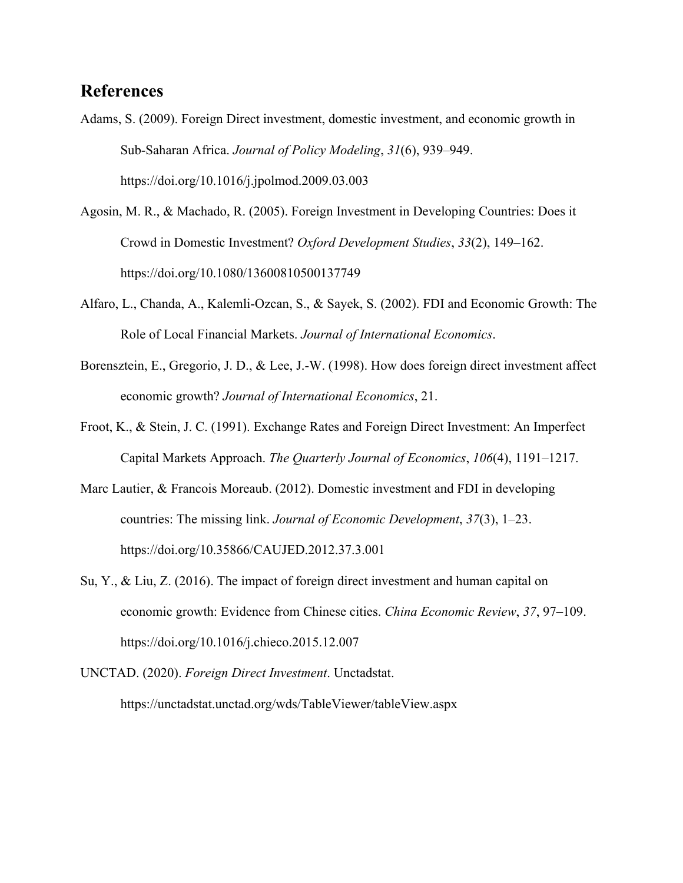# **References**

- Adams, S. (2009). Foreign Direct investment, domestic investment, and economic growth in Sub-Saharan Africa. *Journal of Policy Modeling*, *31*(6), 939–949. https://doi.org/10.1016/j.jpolmod.2009.03.003
- Agosin, M. R., & Machado, R. (2005). Foreign Investment in Developing Countries: Does it Crowd in Domestic Investment? *Oxford Development Studies*, *33*(2), 149–162. https://doi.org/10.1080/13600810500137749
- Alfaro, L., Chanda, A., Kalemli-Ozcan, S., & Sayek, S. (2002). FDI and Economic Growth: The Role of Local Financial Markets. *Journal of International Economics*.
- Borensztein, E., Gregorio, J. D., & Lee, J.-W. (1998). How does foreign direct investment affect economic growth? *Journal of International Economics*, 21.
- Froot, K., & Stein, J. C. (1991). Exchange Rates and Foreign Direct Investment: An Imperfect Capital Markets Approach. *The Quarterly Journal of Economics*, *106*(4), 1191–1217.
- Marc Lautier, & Francois Moreaub. (2012). Domestic investment and FDI in developing countries: The missing link. *Journal of Economic Development*, *37*(3), 1–23. https://doi.org/10.35866/CAUJED.2012.37.3.001
- Su, Y., & Liu, Z. (2016). The impact of foreign direct investment and human capital on economic growth: Evidence from Chinese cities. *China Economic Review*, *37*, 97–109. https://doi.org/10.1016/j.chieco.2015.12.007
- UNCTAD. (2020). *Foreign Direct Investment*. Unctadstat. https://unctadstat.unctad.org/wds/TableViewer/tableView.aspx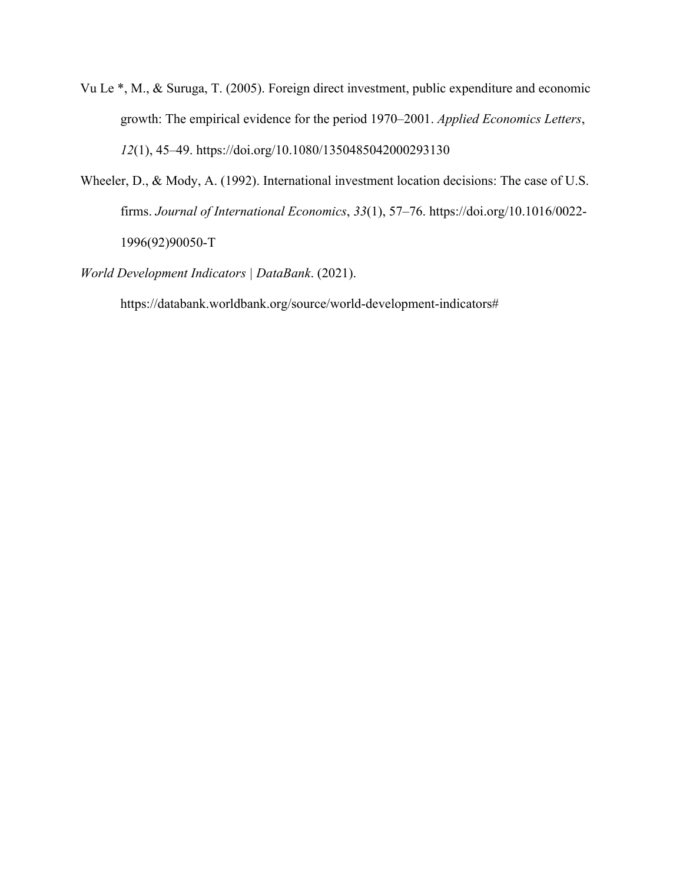- Vu Le \*, M., & Suruga, T. (2005). Foreign direct investment, public expenditure and economic growth: The empirical evidence for the period 1970–2001. *Applied Economics Letters*, *12*(1), 45–49. https://doi.org/10.1080/1350485042000293130
- Wheeler, D., & Mody, A. (1992). International investment location decisions: The case of U.S. firms. *Journal of International Economics*, *33*(1), 57–76. https://doi.org/10.1016/0022- 1996(92)90050-T
- *World Development Indicators | DataBank*. (2021).

https://databank.worldbank.org/source/world-development-indicators#